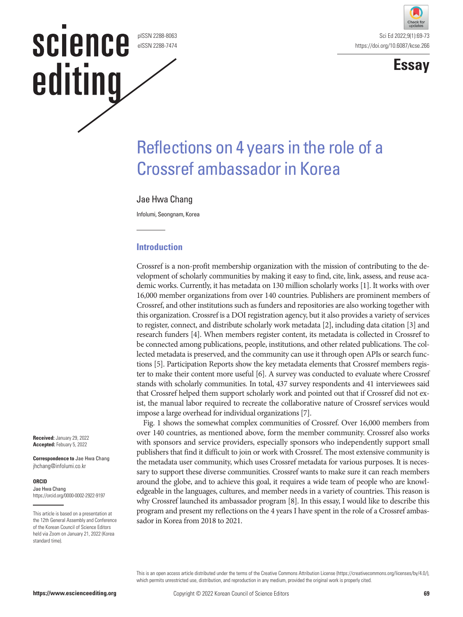## **SCIENCE** pISSN 2288-8063 eISSN 2288-7474 editing





# Reflections on 4 years in the role of a Crossref ambassador in Korea

#### Jae Hwa Chang

Infolumi, Seongnam, Korea

#### **Introduction**

Crossref is a non-profit membership organization with the mission of contributing to the development of scholarly communities by making it easy to find, cite, link, assess, and reuse academic works. Currently, it has metadata on 130 million scholarly works [1]. It works with over 16,000 member organizations from over 140 countries. Publishers are prominent members of Crossref, and other institutions such as funders and repositories are also working together with this organization. Crossref is a DOI registration agency, but it also provides a variety of services to register, connect, and distribute scholarly work metadata [2], including data citation [3] and research funders [4]. When members register content, its metadata is collected in Crossref to be connected among publications, people, institutions, and other related publications. The collected metadata is preserved, and the community can use it through open APIs or search functions [5]. Participation Reports show the key metadata elements that Crossref members register to make their content more useful [6]. A survey was conducted to evaluate where Crossref stands with scholarly communities. In total, 437 survey respondents and 41 interviewees said that Crossref helped them support scholarly work and pointed out that if Crossref did not exist, the manual labor required to recreate the collaborative nature of Crossref services would impose a large overhead for individual organizations [7].

Fig. 1 shows the somewhat complex communities of Crossref. Over 16,000 members from over 140 countries, as mentioned above, form the member community. Crossref also works with sponsors and service providers, especially sponsors who independently support small publishers that find it difficult to join or work with Crossref. The most extensive community is the metadata user community, which uses Crossref metadata for various purposes. It is necessary to support these diverse communities. Crossref wants to make sure it can reach members around the globe, and to achieve this goal, it requires a wide team of people who are knowledgeable in the languages, cultures, and member needs in a variety of countries. This reason is why Crossref launched its ambassador program [8]. In this essay, I would like to describe this program and present my reflections on the 4 years I have spent in the role of a Crossref ambassador in Korea from 2018 to 2021.

This is an open access article distributed under the terms of the Creative Commons Attribution License (https://creativecommons.org/licenses/by/4.0/), which permits unrestricted use, distribution, and reproduction in any medium, provided the original work is properly cited.

**Received:** January 29, 2022 **Accepted:** Febuary 5, 2022

**Correspondence to** Jae Hwa Chang jhchang@infolumi.co.kr

#### **ORCID**

Jae Hwa Chang https://orcid.org/0000-0002-2922-9197

This article is based on a presentation at the 12th General Assembly and Conference of the Korean Council of Science Editors held via Zoom on January 21, 2022 (Korea standard time).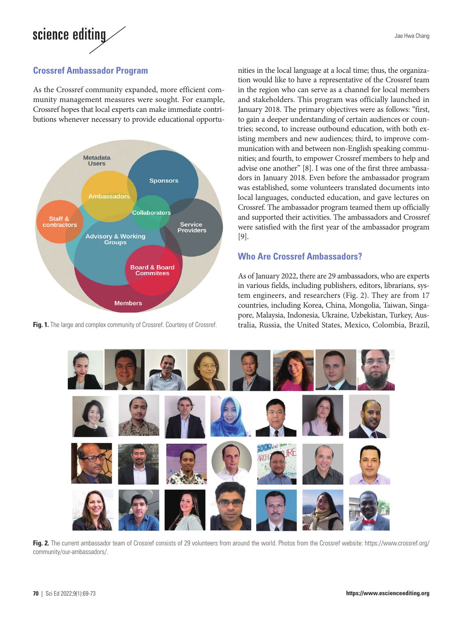# science editing

#### **Crossref Ambassador Program**

As the Crossref community expanded, more efficient community management measures were sought. For example, Crossref hopes that local experts can make immediate contributions whenever necessary to provide educational opportu-



nities in the local language at a local time; thus, the organization would like to have a representative of the Crossref team in the region who can serve as a channel for local members and stakeholders. This program was officially launched in January 2018. The primary objectives were as follows: "first, to gain a deeper understanding of certain audiences or countries; second, to increase outbound education, with both existing members and new audiences; third, to improve communication with and between non-English speaking communities; and fourth, to empower Crossref members to help and advise one another" [8]. I was one of the first three ambassadors in January 2018. Even before the ambassador program was established, some volunteers translated documents into local languages, conducted education, and gave lectures on Crossref. The ambassador program teamed them up officially and supported their activities. The ambassadors and Crossref were satisfied with the first year of the ambassador program [9].

#### **Who Are Crossref Ambassadors?**

As of January 2022, there are 29 ambassadors, who are experts in various fields, including publishers, editors, librarians, system engineers, and researchers (Fig. 2). They are from 17 countries, including Korea, China, Mongolia, Taiwan, Singapore, Malaysia, Indonesia, Ukraine, Uzbekistan, Turkey, Aus-Fig. 1. The large and complex community of Crossref. Courtesy of Crossref. tralia, Russia, the United States, Mexico, Colombia, Brazil,



**Fig. 2.** The current ambassador team of Crossref consists of 29 volunteers from around the world. Photos from the Crossref website: [https://www.crossref.org/](https://www.crossref.org/community/our-ambassadors/) [community/our-ambassadors/](https://www.crossref.org/community/our-ambassadors/).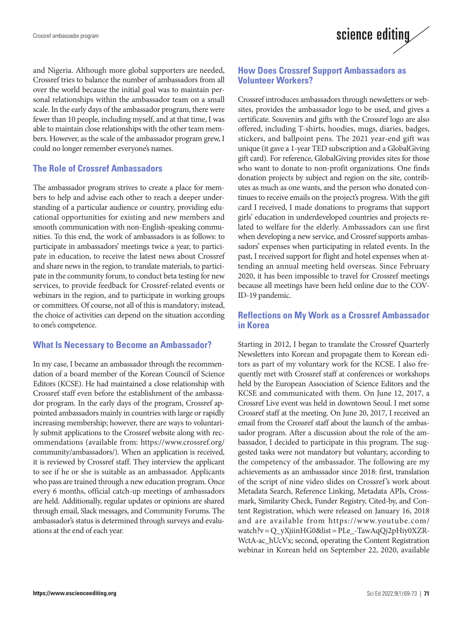

and Nigeria. Although more global supporters are needed, Crossref tries to balance the number of ambassadors from all over the world because the initial goal was to maintain personal relationships within the ambassador team on a small scale. In the early days of the ambassador program, there were fewer than 10 people, including myself, and at that time, I was able to maintain close relationships with the other team members. However, as the scale of the ambassador program grew, I could no longer remember everyone's names.

#### **The Role of Crossref Ambassadors**

The ambassador program strives to create a place for members to help and advise each other to reach a deeper understanding of a particular audience or country, providing educational opportunities for existing and new members and smooth communication with non-English-speaking communities. To this end, the work of ambassadors is as follows: to participate in ambassadors' meetings twice a year, to participate in education, to receive the latest news about Crossref and share news in the region, to translate materials, to participate in the community forum, to conduct beta testing for new services, to provide feedback for Crossref-related events or webinars in the region, and to participate in working groups or committees. Of course, not all of this is mandatory; instead, the choice of activities can depend on the situation according to one's competence.

#### **What Is Necessary to Become an Ambassador?**

In my case, I became an ambassador through the recommendation of a board member of the Korean Council of Science Editors (KCSE). He had maintained a close relationship with Crossref staff even before the establishment of the ambassador program. In the early days of the program, Crossref appointed ambassadors mainly in countries with large or rapidly increasing membership; however, there are ways to voluntarily submit applications to the Crossref website along with recommendations (available from: https://www.crossref.org/ community/ambassadors/). When an application is received, it is reviewed by Crossref staff. They interview the applicant to see if he or she is suitable as an ambassador. Applicants who pass are trained through a new education program. Once every 6 months, official catch-up meetings of ambassadors are held. Additionally, regular updates or opinions are shared through email, Slack messages, and Community Forums. The ambassador's status is determined through surveys and evaluations at the end of each year.

#### **How Does Crossref Support Ambassadors as Volunteer Workers?**

Crossref introduces ambassadors through newsletters or websites, provides the ambassador logo to be used, and gives a certificate. Souvenirs and gifts with the Crossref logo are also offered, including T-shirts, hoodies, mugs, diaries, badges, stickers, and ballpoint pens. The 2021 year-end gift was unique (it gave a 1-year TED subscription and a GlobalGiving gift card). For reference, GlobalGiving provides sites for those who want to donate to non-profit organizations. One finds donation projects by subject and region on the site, contributes as much as one wants, and the person who donated continues to receive emails on the project's progress. With the gift card I received, I made donations to programs that support girls' education in underdeveloped countries and projects related to welfare for the elderly. Ambassadors can use first when developing a new service, and Crossref supports ambassadors' expenses when participating in related events. In the past, I received support for flight and hotel expenses when attending an annual meeting held overseas. Since February 2020, it has been impossible to travel for Crossref meetings because all meetings have been held online due to the COV-ID-19 pandemic.

#### **Reflections on My Work as a Crossref Ambassador in Korea**

Starting in 2012, I began to translate the Crossref Quarterly Newsletters into Korean and propagate them to Korean editors as part of my voluntary work for the KCSE. I also frequently met with Crossref staff at conferences or workshops held by the European Association of Science Editors and the KCSE and communicated with them. On June 12, 2017, a Crossref Live event was held in downtown Seoul. I met some Crossref staff at the meeting. On June 20, 2017, I received an email from the Crossref staff about the launch of the ambassador program. After a discussion about the role of the ambassador, I decided to participate in this program. The suggested tasks were not mandatory but voluntary, according to the competency of the ambassador. The following are my achievements as an ambassador since 2018: first, translation of the script of nine video slides on Crossref 's work about Metadata Search, Reference Linking, Metadata APIs, Crossmark, Similarity Check, Funder Registry, Cited-by, and Content Registration, which were released on January 16, 2018 and are available from https://www.youtube.com/ watch?v = Q\_yXjiinHG0&list = PLe\_-TawAqQj2pHiy0XZR-WctA-ac\_hUcVx; second, operating the Content Registration webinar in Korean held on September 22, 2020, available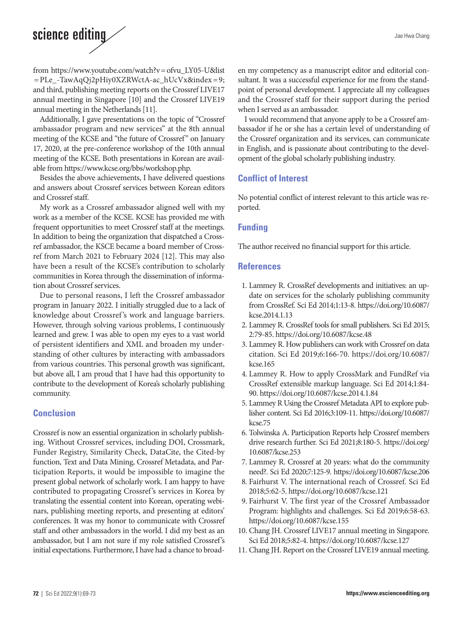### science editing

from [https://www.youtube.com/watch?v= ofvu\\_LY05-U&list](https://www.youtube.com/watch?v=ofvu_LY05-U&list=PLe_-TawAqQj2pHiy0XZRWctA-ac_hUcVx&index=9) [= PLe\\_-TawAqQj2pHiy0XZRWctA-ac\\_hUcVx&index = 9;](https://www.youtube.com/watch?v=ofvu_LY05-U&list=PLe_-TawAqQj2pHiy0XZRWctA-ac_hUcVx&index=9) and third, publishing meeting reports on the Crossref LIVE17 annual meeting in Singapore [10] and the Crossref LIVE19 annual meeting in the Netherlands [11].

Additionally, I gave presentations on the topic of "Crossref ambassador program and new services" at the 8th annual meeting of the KCSE and "the future of Crossref" on January 17, 2020, at the pre-conference workshop of the 10th annual meeting of the KCSE. Both presentations in Korean are available from https://www.kcse.org/bbs/workshop.php.

Besides the above achievements, I have delivered questions and answers about Crossref services between Korean editors and Crossref staff.

My work as a Crossref ambassador aligned well with my work as a member of the KCSE. KCSE has provided me with frequent opportunities to meet Crossref staff at the meetings. In addition to being the organization that dispatched a Crossref ambassador, the KSCE became a board member of Crossref from March 2021 to February 2024 [12]. This may also have been a result of the KCSE's contribution to scholarly communities in Korea through the dissemination of information about Crossref services.

Due to personal reasons, I left the Crossref ambassador program in January 2022. I initially struggled due to a lack of knowledge about Crossref 's work and language barriers. However, through solving various problems, I continuously learned and grew. I was able to open my eyes to a vast world of persistent identifiers and XML and broaden my understanding of other cultures by interacting with ambassadors from various countries. This personal growth was significant, but above all, I am proud that I have had this opportunity to contribute to the development of Korea's scholarly publishing community.

#### **Conclusion**

Crossref is now an essential organization in scholarly publishing. Without Crossref services, including DOI, Crossmark, Funder Registry, Similarity Check, DataCite, the Cited-by function, Text and Data Mining, Crossref Metadata, and Participation Reports, it would be impossible to imagine the present global network of scholarly work. I am happy to have contributed to propagating Crossref 's services in Korea by translating the essential content into Korean, operating webinars, publishing meeting reports, and presenting at editors' conferences. It was my honor to communicate with Crossref staff and other ambassadors in the world. I did my best as an ambassador, but I am not sure if my role satisfied Crossref's initial expectations. Furthermore, I have had a chance to broaden my competency as a manuscript editor and editorial consultant. It was a successful experience for me from the standpoint of personal development. I appreciate all my colleagues and the Crossref staff for their support during the period when I served as an ambassador.

I would recommend that anyone apply to be a Crossref ambassador if he or she has a certain level of understanding of the Crossref organization and its services, can communicate in English, and is passionate about contributing to the development of the global scholarly publishing industry.

#### **Conflict of Interest**

No potential conflict of interest relevant to this article was reported.

#### **Funding**

The author received no financial support for this article.

#### **References**

- 1. Lammey R. CrossRef developments and initiatives: an update on services for the scholarly publishing community from CrossRef. Sci Ed 2014;1:13-8. https://doi.org/10.6087/ kcse.2014.1.13
- 2. Lammey R. CrossRef tools for small publishers. Sci Ed 2015; 2:79-85. https://doi.org/10.6087/kcse.48
- 3. Lammey R. How publishers can work with Crossref on data citation. Sci Ed 2019;6:166-70. https://doi.org/10.6087/ kcse.165
- 4. Lammey R. How to apply CrossMark and FundRef via CrossRef extensible markup language. Sci Ed 2014;1:84- 90. https://doi.org/10.6087/kcse.2014.1.84
- 5. Lammey R Using the Crossref Metadata API to explore publisher content. Sci Ed 2016;3:109-11. https://doi.org/10.6087/ kcse.75
- 6. Tolwinska A. Participation Reports help Crossref members drive research further. Sci Ed 2021;8:180-5. [https://doi.org/](https://doi.org/10.6087/kcse.253) [10.6087/kcse.253](https://doi.org/10.6087/kcse.253)
- 7. Lammey R. Crossref at 20 years: what do the community need?. Sci Ed 2020;7:125-9. https://doi.org/10.6087/kcse.206
- 8. Fairhurst V. The international reach of Crossref. Sci Ed 2018;5:62-5. https://doi.org/10.6087/kcse.121
- 9. Fairhurst V. The first year of the Crossref Ambassador Program: highlights and challenges. Sci Ed 2019;6:58-63. https://doi.org/10.6087/kcse.155
- 10. Chang JH. Crossref LIVE17 annual meeting in Singapore. Sci Ed 2018;5:82-4. https://doi.org/10.6087/kcse.127
- 11. Chang JH. Report on the Crossref LIVE19 annual meeting.